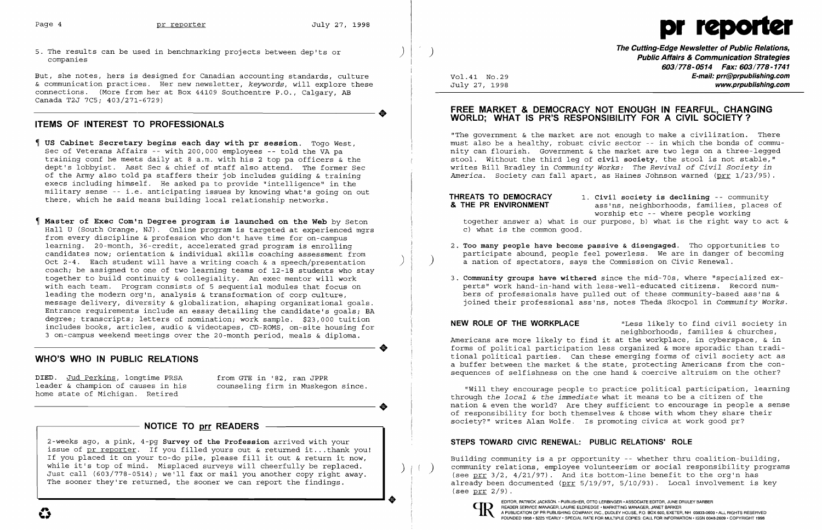5. The results can be used in benchmarking projects between dep'ts or  $\left( \begin{array}{c} \begin{array}{c} \end{array} \right) \end{array}$ 

i

 $\left( \begin{array}{c} \end{array} \right)$ 

- us Cabinet Secretary begins each day with pr session. Togo West, Sec of Veterans Affairs -- with 200,000 employees -- told the VA pa training conf he meets daily at 8 a.m. with his 2 top pa officers & the dept's lobbyist. Asst Sec & chief of staff also attend. The former Sec of the Army also told pa staffers their job includes guiding & training execs including himself. He asked pa to provide "intelligence" in the military sense -- i.e. anticipating issues by knowing what's going on out there, which he said means building local relationship networks.
- Master of Exec Com1n Degree program is launched on the Web by Seton Hall U (South Orange, NJ). Online program is targeted at experienced mgrs from every discipline & profession who don't have time for on-campus learning. 20-month, 36-credit, accelerated grad program is enrolling candidates now; orientation & individual skills coaching assessment from Oct 2-4. Each student will have a writing coach  $\&$  a speech/presentation coach; be assigned to one of two learning teams of 12-18 students who stay together to build continuity & collegiality. An exec mentor will work with each team. Program consists of 5 sequential modules that focus on leading the modern org'n, analysis & transformation of corp culture, message delivery, diversity & globalization, shaping organizational goals. Entrance requirements include an essay detailing the candidate's goals; BA degree; transcripts; letters of nomination; work sample. \$23,000 tuition includes books, articles, audio & videotapes, CD-ROMS, on-site housing for 3 on-campus weekend meetings over the 20-month period, meals & diploma. **•**

But, she notes, hers is designed for Canadian accounting standards, culture & communication practices. Her new newsletter, *keywords*, will explore these connections. (More from her at Box 44109 Southcentre P.O., Calgary, AB<br>Canada T2J 7C5; 403/271-6729)<br>TIEMS OF INTEREST TO PROFESSIONALS Canada T2J 7C5; 403/271-6729)

### ITEMS OF INTEREST TO PROFESSIONALS

DIED. Jud Perkins, longtime PRSA from GTE in '82, ran JPPR<br>leader & champion of causes in his counseling firm in Muskego home state of Michigan. Retired

counseling firm in Muskegon since.

# NOTICE TO prr READERS -

2-weeks ago, a pink, 4-pg S<mark>urvey of the Profession</mark> arrived with your z weeks ago, a pink, 4-pg survey or the Profession affived with your<br>issue of <u>pr reporter</u>. If you filled yours out & returned it...thank you! issue of <u>prifeporter</u>. If you fiffed yours out a fecuried fittion you.<br>If you placed it on your to-do pile, please fill it out & return it now, while it's top of mind. Misplaced surveys will cheerfully be replaced. Just call (603/778-0514); we'll fax or mail you another copy right away. The sooner they're returned, the sooner we can report the findings.

<u>I , et al. 1989 et al. 1989 et al. 1989 et al. 1989 et al. 1989 et al. 1989 et al. 1989 et al. 1989 et al. 19</u>

The Cutting-Edge Newsletter of Public Relations, Public Affairs & Communication Strategies 603/778-0514 Fax: 603/778-1741 Vol.41 No.29 **E-mail: prr@prpublishing.com**<br>July 27, 1998 **E-mail: proprpublishing.com** www.prpublishing.com

#### FREE MARKET & DEMOCRACY NOT ENOUGH IN FEARFUL, CHANGING WORLD; WHAT IS PR'S RESPONSIBILITY FOR A CIVIL SOCIETY?

THREATS TO DEMOCRACY 1. Civil society is declining -- community<br> **& THE PR ENVIRONMENT** ass'ns. neighborhoods, families, places ass'ns, neighborhoods, families, places of worship etc -- where people working together answer a) what is our purpose, b) what is the right way to act &

2. Too many people have become passive & disengaged. Tho opportunities to participate abound, people feel powerless. We are in danger of becoming

## WHO'S WHO IN PUBLIC RELATIONS

3. Community groups have withered since the mid-70s, where "specialized experts" work hand-in-hand with less-well-educated citizens. Record numbers of professionals have pulled out of these community-based ass'ns & joined their professional ass'ns, notes Theda Skocpol in *Community Works.* 

•

NEW ROLE OF THE WORKPLACE Thess likely to find civil society in neighborhoods, families & churches, Americans are more likely to find it at the workplace, in cyberspace, & in forms of political participation less organized & more sporadic than traditional pOlitical parties. Can these emerging forms of civil society act as a buffer between the market & the state, protecting Americans from the consequences of selfishness on the one hand & coercive altruism on the other?

"The government & the market are not enough to make a civilization. There must also be a healthy, robust civic sector -- in which the bonds of community can flourish. Government & the market are two legs on a three-legged stool. Without the third leg of civil society, the stool is not stable," writes Bill Bradley in *Community Works: The Revival of Civil Society in America.* Society *can* fall apart, as Haines Johnson warned (prr 1/23/95).

c) what is the common good.

- a nation of spectators, says the Commission on civic Renewal.
- 

"will they encourage people to practice political participation, learning through *the local* & *the immediate* what it means to be a citizen of the nation & even the world? Are they sufficient to encourage in people a sense of responsibility for both themselves & those with whom they share their society?" writes Alan Wolfe. Is promoting civics at work good pr?

## STEPS TOWARD CIVIC RENEWAL: PUBLIC RELATIONS' ROLE

Building community is a pr opportunity -- whether thru coalition-building, community relations, employee volunteerism or social responsibility programs (see prr  $3/2$ ,  $4/21/97$ ). And its bottom-line benefit to the org'n has already been documented (prr 5/19/97, 5/10/93). Local involvement is key (see prr 2/9) .



# Page 4 **pr reporter** July 27, 1998